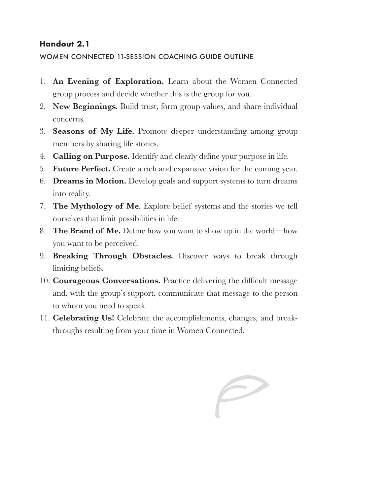### **Handout 2.1**

#### WOMEN CONNECTED 11-SESSION COACHING GUIDE OUTLINE

- 1. **An Evening of Exploration.** Learn about the Women Connected group process and decide whether this is the group for you.
- 2. **New Beginnings.** Build trust, form group values, and share individual concerns.
- 3. **Seasons of My Life.** Promote deeper understanding among group members by sharing life stories.
- 4. **Calling on Purpose.** Identify and clearly define your purpose in life.
- 5. **Future Perfect.** Create a rich and expansive vision for the coming year.
- 6. **Dreams in Motion.** Develop goals and support systems to turn dreams into reality.
- 7. **The Mythology of Me***.* Explore belief systems and the stories we tell ourselves that limit possibilities in life.
- 8. **The Brand of Me.** Define how you want to show up in the world—how you want to be perceived.
- 9. **Breaking Through Obstacles.** Discover ways to break through limiting beliefs.
- 10. **Courageous Conversations.** Practice delivering the difficult message and, with the group's support, communicate that message to the person to whom you need to speak.
- 11. **Celebrating Us!** Celebrate the accomplishments, changes, and breakthroughs resulting from your time in Women Connected.

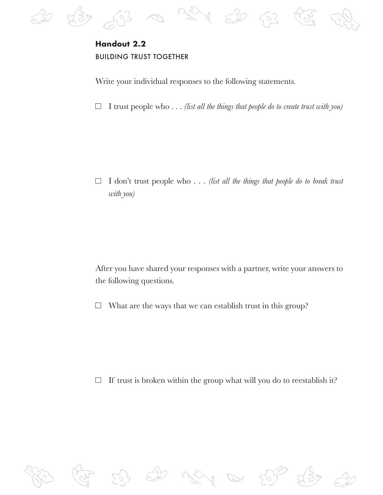

# **Handout 2.2 BUILDING TRUST TOGETHER**

Write your individual responses to the following statements.

 $\Box$  I trust people who  $\ldots$  *(list all the things that people do to create trust with you)* 

 $\Box$ I don't trust people who . . . *(list all the things that people do to break trust with you)*

After you have shared your responses with a partner, write your answers to the following questions.

 $\Box$ What are the ways that we can establish trust in this group?

 $\Box$  If trust is broken within the group what will you do to reestablish it?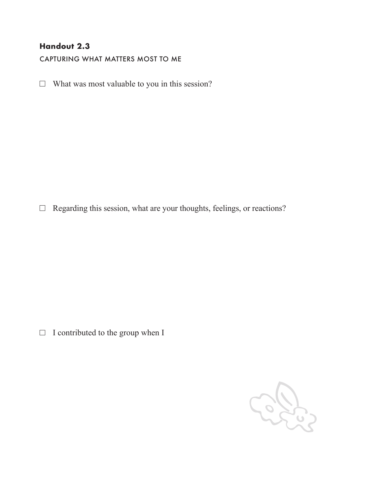## **Handout 2.3**

CAPTURING WHAT MATTERS MOST TO ME

 $\Box$  What was most valuable to you in this session?

Regarding this session, what are your thoughts, feelings, or reactions?

 $\Box$  I contributed to the group when I

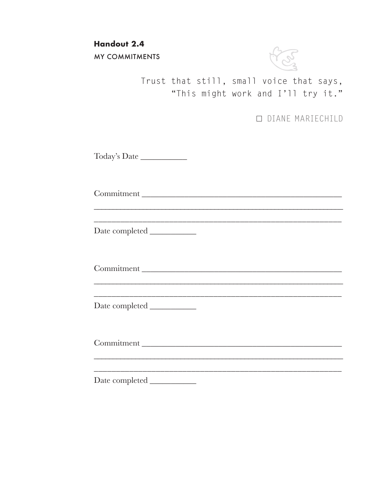**Handout 2.4** 

**MY COMMITMENTS** 



Trust that still, small voice that says, "This might work and I'll try it."

**O DIANE MARIECHILD** 

Today's Date

Commitment

Commitment

Date completed

Commitment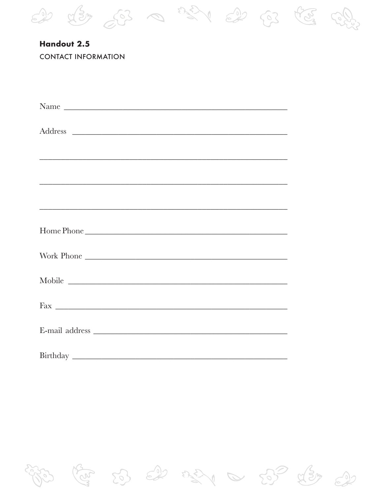

| Handout 2.5                |
|----------------------------|
| <b>CONTACT INFORMATION</b> |

| Name       |
|------------|
|            |
|            |
|            |
|            |
|            |
|            |
| Home Phone |
| Work Phone |
|            |
|            |
|            |
|            |